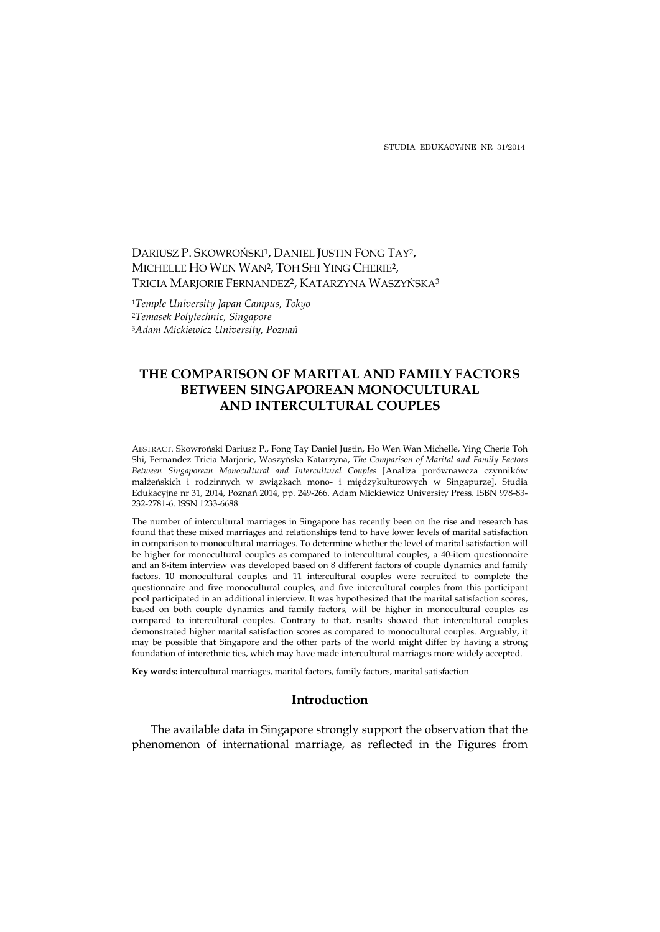STUDIA EDUKACYJNE NR 31/2014

# DARIUSZ P. SKOWROŃSKI<sup>1</sup>, DANIEL JUSTIN FONG TAY<sup>2</sup>, MICHELLE HO WEN WAN2, TOH SHI YING CHERIE2, TRICIA MARJORIE FERNANDEZ<sup>2</sup>, KATARZYNA WASZYŃSKA<sup>3</sup>

<sup>1</sup>*Temple University Japan Campus, Tokyo* <sup>2</sup>*Temasek Polytechnic, Singapore* <sup>3</sup>*Adam Mickiewicz University, Poznań*

# **THE COMPARISON OF MARITAL AND FAMILY FACTORS BETWEEN SINGAPOREAN MONOCULTURAL AND INTERCULTURAL COUPLES**

ABSTRACT. Skowroński Dariusz P., Fong Tay Daniel Justin, Ho Wen Wan Michelle, Ying Cherie Toh Shi, Fernandez Tricia Marjorie, Waszyńska Katarzyna, *The Comparison of Marital and Family Factors Between Singaporean Monocultural and Intercultural Couples* [Analiza porównawcza czynników małżeńskich i rodzinnych w związkach mono- i międzykulturowych w Singapurze]. Studia Edukacyjne nr 31, 2014, Poznań 2014, pp. 249-266. Adam Mickiewicz University Press. ISBN 978-83- 232-2781-6. ISSN 1233-6688

The number of intercultural marriages in Singapore has recently been on the rise and research has found that these mixed marriages and relationships tend to have lower levels of marital satisfaction in comparison to monocultural marriages. To determine whether the level of marital satisfaction will be higher for monocultural couples as compared to intercultural couples, a 40-item questionnaire and an 8-item interview was developed based on 8 different factors of couple dynamics and family factors. 10 monocultural couples and 11 intercultural couples were recruited to complete the questionnaire and five monocultural couples, and five intercultural couples from this participant pool participated in an additional interview. It was hypothesized that the marital satisfaction scores, based on both couple dynamics and family factors, will be higher in monocultural couples as compared to intercultural couples. Contrary to that, results showed that intercultural couples demonstrated higher marital satisfaction scores as compared to monocultural couples. Arguably, it may be possible that Singapore and the other parts of the world might differ by having a strong foundation of interethnic ties, which may have made intercultural marriages more widely accepted.

**Key words:** intercultural marriages, marital factors, family factors, marital satisfaction

### **Introduction**

The available data in Singapore strongly support the observation that the phenomenon of international marriage, as reflected in the Figures from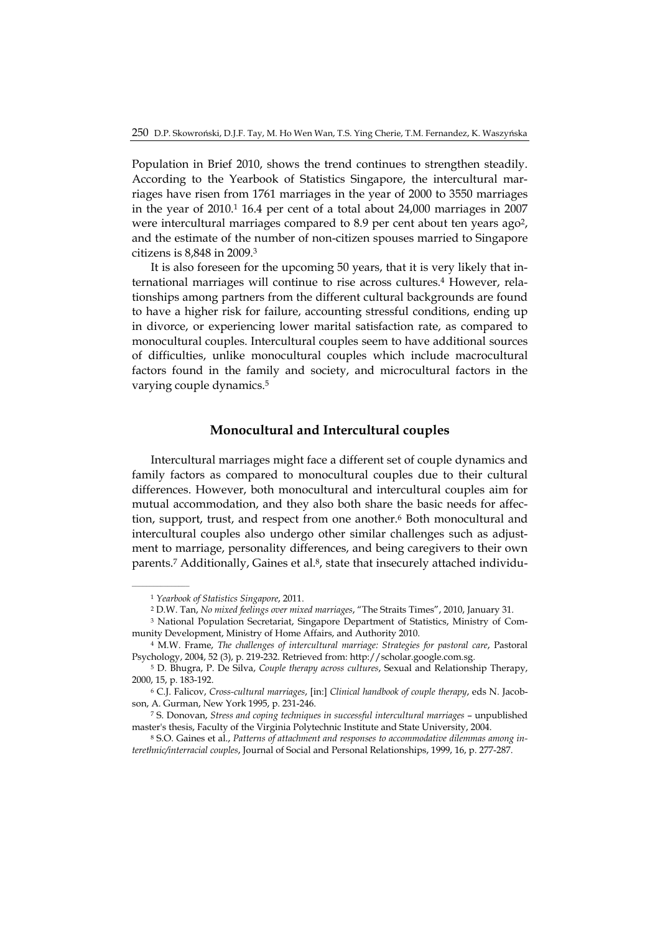Population in Brief 2010, shows the trend continues to strengthen steadily. According to the Yearbook of Statistics Singapore, the intercultural marriages have risen from 1761 marriages in the year of 2000 to 3550 marriages in the year of 2010.1 16.4 per cent of a total about 24,000 marriages in 2007 were intercultural marriages compared to 8.9 per cent about ten years ago<sup>2</sup>, and the estimate of the number of non-citizen spouses married to Singapore citizens is 8,848 in 2009.3

It is also foreseen for the upcoming 50 years, that it is very likely that international marriages will continue to rise across cultures.<sup>4</sup> However, relationships among partners from the different cultural backgrounds are found to have a higher risk for failure, accounting stressful conditions, ending up in divorce, or experiencing lower marital satisfaction rate, as compared to monocultural couples. Intercultural couples seem to have additional sources of difficulties, unlike monocultural couples which include macrocultural factors found in the family and society, and microcultural factors in the varying couple dynamics.5

### **Monocultural and Intercultural couples**

Intercultural marriages might face a different set of couple dynamics and family factors as compared to monocultural couples due to their cultural differences. However, both monocultural and intercultural couples aim for mutual accommodation, and they also both share the basic needs for affection, support, trust, and respect from one another.<sup>6</sup> Both monocultural and intercultural couples also undergo other similar challenges such as adjustment to marriage, personality differences, and being caregivers to their own parents.<sup>7</sup> Additionally, Gaines et al.<sup>8</sup>, state that insecurely attached individu-

<sup>1</sup> *Yearbook of Statistics Singapore*, 2011.

<sup>2</sup> D.W. Tan, *No mixed feelings over mixed marriages*, "The Straits Times", 2010, January 31.

<sup>3</sup> National Population Secretariat, Singapore Department of Statistics, Ministry of Community Development, Ministry of Home Affairs, and Authority 2010.

<sup>4</sup> M.W. Frame, *The challenges of intercultural marriage: Strategies for pastoral care*, Pastoral Psychology, 2004, 52 (3), p. 219-232. Retrieved from: http://scholar.google.com.sg.

<sup>5</sup> D. Bhugra, P. De Silva, *Couple therapy across cultures*, Sexual and Relationship Therapy, 2000, 15, p. 183-192.

<sup>6</sup> C.J. Falicov, *Cross-cultural marriages*, [in:] *Clinical handbook of couple therapy*, eds N. Jacobson, A. Gurman, New York 1995, p. 231-246.

<sup>7</sup> S. Donovan, *Stress and coping techniques in successful intercultural marriages* – unpublished master's thesis, Faculty of the Virginia Polytechnic Institute and State University, 2004.

<sup>8</sup> S.O. Gaines et al., *Patterns of attachment and responses to accommodative dilemmas among interethnic/interracial couples*, Journal of Social and Personal Relationships, 1999, 16, p. 277-287.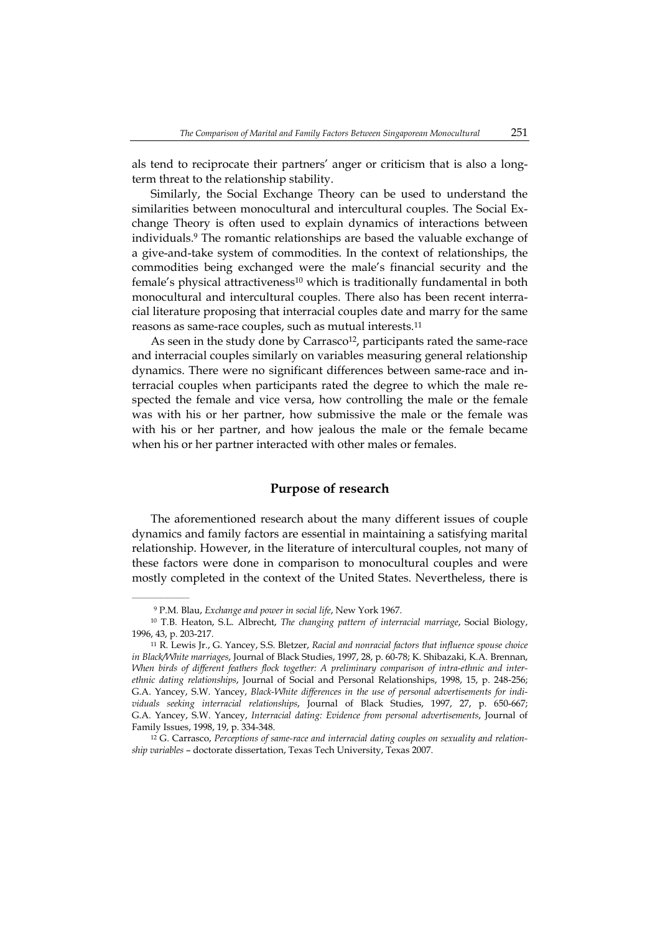als tend to reciprocate their partners' anger or criticism that is also a longterm threat to the relationship stability.

Similarly, the Social Exchange Theory can be used to understand the similarities between monocultural and intercultural couples. The Social Exchange Theory is often used to explain dynamics of interactions between individuals.9 The romantic relationships are based the valuable exchange of a give-and-take system of commodities. In the context of relationships, the commodities being exchanged were the male's financial security and the female's physical attractiveness<sup>10</sup> which is traditionally fundamental in both monocultural and intercultural couples. There also has been recent interracial literature proposing that interracial couples date and marry for the same reasons as same-race couples, such as mutual interests.11

As seen in the study done by Carrasco<sup>12</sup>, participants rated the same-race and interracial couples similarly on variables measuring general relationship dynamics. There were no significant differences between same-race and interracial couples when participants rated the degree to which the male respected the female and vice versa, how controlling the male or the female was with his or her partner, how submissive the male or the female was with his or her partner, and how jealous the male or the female became when his or her partner interacted with other males or females.

# **Purpose of research**

The aforementioned research about the many different issues of couple dynamics and family factors are essential in maintaining a satisfying marital relationship. However, in the literature of intercultural couples, not many of these factors were done in comparison to monocultural couples and were mostly completed in the context of the United States. Nevertheless, there is

 $\mathcal{L}=\mathcal{L}^{\text{max}}$ 

<sup>9</sup> P.M. Blau, *Exchange and power in social life*, New York 1967.

<sup>10</sup> T.B. Heaton, S.L. Albrecht, *The changing pattern of interracial marriage*, Social Biology, 1996, 43, p. 203-217.

<sup>11</sup> R. Lewis Jr., G. Yancey, S.S. Bletzer, *Racial and nonracial factors that influence spouse choice in Black/White marriages*, Journal of Black Studies, 1997, 28, p. 60-78; K. Shibazaki, K.A. Brennan, *When birds of different feathers flock together: A preliminary comparison of intra-ethnic and interethnic dating relationships*, Journal of Social and Personal Relationships, 1998, 15, p. 248-256; G.A. Yancey, S.W. Yancey, *Black-White differences in the use of personal advertisements for individuals seeking interracial relationships*, Journal of Black Studies, 1997, 27, p. 650-667; G.A. Yancey, S.W. Yancey, *Interracial dating: Evidence from personal advertisements*, Journal of Family Issues, 1998, 19, p. 334-348.

<sup>12</sup> G. Carrasco, *Perceptions of same-race and interracial dating couples on sexuality and relationship variables* – doctorate dissertation, Texas Tech University, Texas 2007.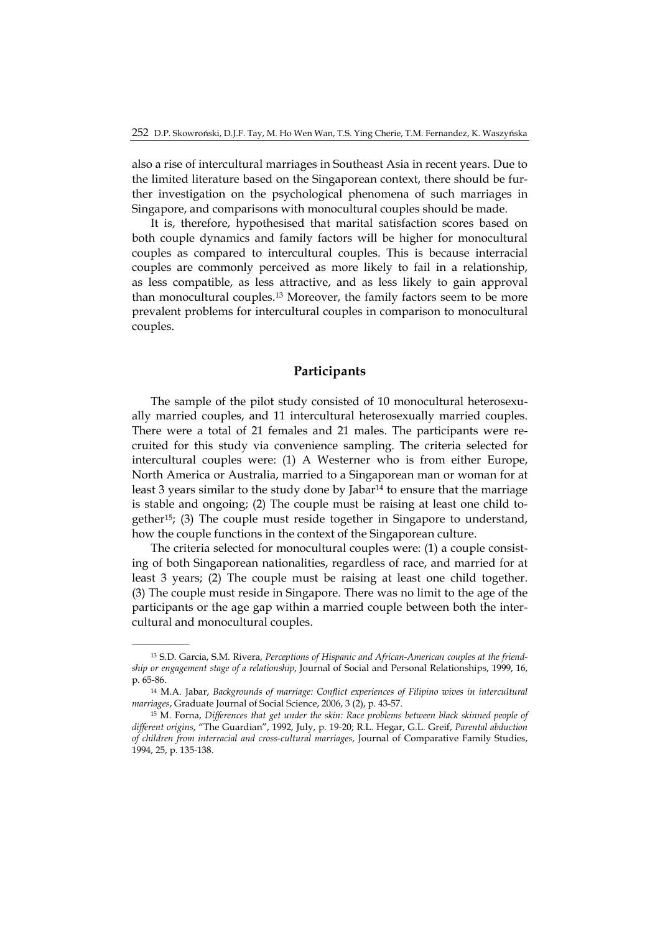also a rise of intercultural marriages in Southeast Asia in recent years. Due to the limited literature based on the Singaporean context, there should be further investigation on the psychological phenomena of such marriages in Singapore, and comparisons with monocultural couples should be made.

It is, therefore, hypothesised that marital satisfaction scores based on both couple dynamics and family factors will be higher for monocultural couples as compared to intercultural couples. This is because interracial couples are commonly perceived as more likely to fail in a relationship, as less compatible, as less attractive, and as less likely to gain approval than monocultural couples.13 Moreover, the family factors seem to be more prevalent problems for intercultural couples in comparison to monocultural couples.

#### **Participants**

The sample of the pilot study consisted of 10 monocultural heterosexually married couples, and 11 intercultural heterosexually married couples. There were a total of 21 females and 21 males. The participants were recruited for this study via convenience sampling. The criteria selected for intercultural couples were: (1) A Westerner who is from either Europe, North America or Australia, married to a Singaporean man or woman for at least 3 years similar to the study done by Jabar<sup>14</sup> to ensure that the marriage is stable and ongoing; (2) The couple must be raising at least one child together15; (3) The couple must reside together in Singapore to understand, how the couple functions in the context of the Singaporean culture.

The criteria selected for monocultural couples were: (1) a couple consisting of both Singaporean nationalities, regardless of race, and married for at least 3 years; (2) The couple must be raising at least one child together. (3) The couple must reside in Singapore. There was no limit to the age of the participants or the age gap within a married couple between both the intercultural and monocultural couples.

 $\mathcal{L}=\mathcal{L}^{\text{max}}$ 

<sup>13</sup> S.D. Garcia, S.M. Rivera, *Perceptions of Hispanic and African-American couples at the friendship or engagement stage of a relationship*, Journal of Social and Personal Relationships, 1999, 16, p. 65-86.

<sup>14</sup> M.A. Jabar, *Backgrounds of marriage: Conflict experiences of Filipino wives in intercultural marriages*, Graduate Journal of Social Science, 2006, 3 (2), p. 43-57.

<sup>15</sup> M. Forna, *Differences that get under the skin: Race problems between black skinned people of different origins*, "The Guardian", 1992, July, p. 19-20; R.L. Hegar, G.L. Greif, *Parental abduction of children from interracial and cross-cultural marriages*, Journal of Comparative Family Studies, 1994, 25, p. 135-138.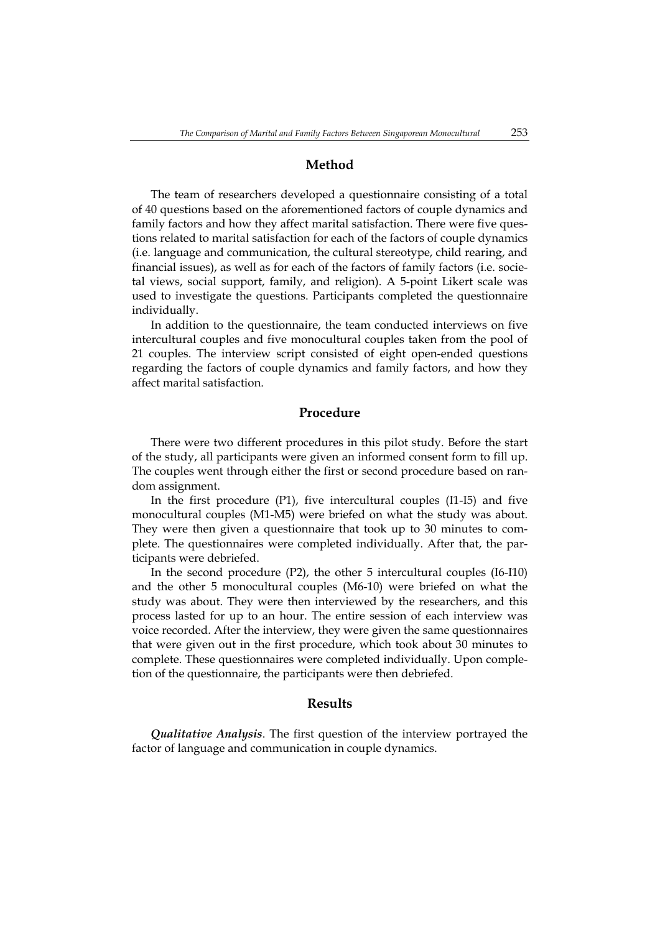### **Method**

The team of researchers developed a questionnaire consisting of a total of 40 questions based on the aforementioned factors of couple dynamics and family factors and how they affect marital satisfaction. There were five questions related to marital satisfaction for each of the factors of couple dynamics (i.e. language and communication, the cultural stereotype, child rearing, and financial issues), as well as for each of the factors of family factors (i.e. societal views, social support, family, and religion). A 5-point Likert scale was used to investigate the questions. Participants completed the questionnaire individually.

In addition to the questionnaire, the team conducted interviews on five intercultural couples and five monocultural couples taken from the pool of 21 couples. The interview script consisted of eight open-ended questions regarding the factors of couple dynamics and family factors, and how they affect marital satisfaction.

### **Procedure**

There were two different procedures in this pilot study. Before the start of the study, all participants were given an informed consent form to fill up. The couples went through either the first or second procedure based on random assignment.

In the first procedure (P1), five intercultural couples (I1-I5) and five monocultural couples (M1-M5) were briefed on what the study was about. They were then given a questionnaire that took up to 30 minutes to complete. The questionnaires were completed individually. After that, the participants were debriefed.

In the second procedure (P2), the other 5 intercultural couples (I6-I10) and the other 5 monocultural couples (M6-10) were briefed on what the study was about. They were then interviewed by the researchers, and this process lasted for up to an hour. The entire session of each interview was voice recorded. After the interview, they were given the same questionnaires that were given out in the first procedure, which took about 30 minutes to complete. These questionnaires were completed individually. Upon completion of the questionnaire, the participants were then debriefed.

#### **Results**

*Qualitative Analysis*. The first question of the interview portrayed the factor of language and communication in couple dynamics.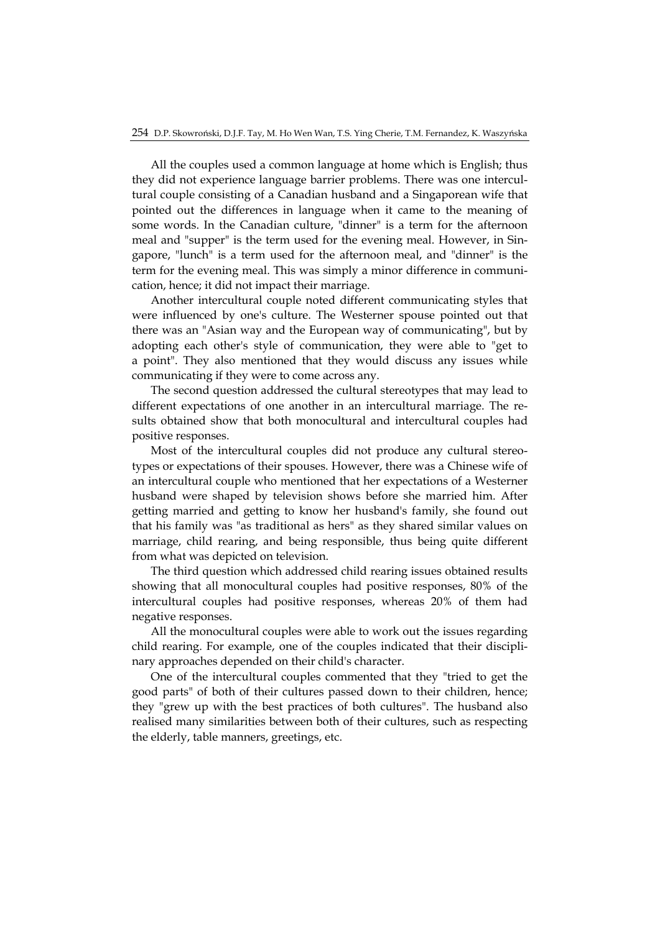All the couples used a common language at home which is English; thus they did not experience language barrier problems. There was one intercultural couple consisting of a Canadian husband and a Singaporean wife that pointed out the differences in language when it came to the meaning of some words. In the Canadian culture, "dinner" is a term for the afternoon meal and "supper" is the term used for the evening meal. However, in Singapore, "lunch" is a term used for the afternoon meal, and "dinner" is the term for the evening meal. This was simply a minor difference in communication, hence; it did not impact their marriage.

Another intercultural couple noted different communicating styles that were influenced by one's culture. The Westerner spouse pointed out that there was an "Asian way and the European way of communicating", but by adopting each other's style of communication, they were able to "get to a point". They also mentioned that they would discuss any issues while communicating if they were to come across any.

The second question addressed the cultural stereotypes that may lead to different expectations of one another in an intercultural marriage. The results obtained show that both monocultural and intercultural couples had positive responses.

Most of the intercultural couples did not produce any cultural stereotypes or expectations of their spouses. However, there was a Chinese wife of an intercultural couple who mentioned that her expectations of a Westerner husband were shaped by television shows before she married him. After getting married and getting to know her husband's family, she found out that his family was "as traditional as hers" as they shared similar values on marriage, child rearing, and being responsible, thus being quite different from what was depicted on television.

The third question which addressed child rearing issues obtained results showing that all monocultural couples had positive responses, 80% of the intercultural couples had positive responses, whereas 20% of them had negative responses.

All the monocultural couples were able to work out the issues regarding child rearing. For example, one of the couples indicated that their disciplinary approaches depended on their child's character.

One of the intercultural couples commented that they "tried to get the good parts" of both of their cultures passed down to their children, hence; they "grew up with the best practices of both cultures". The husband also realised many similarities between both of their cultures, such as respecting the elderly, table manners, greetings, etc.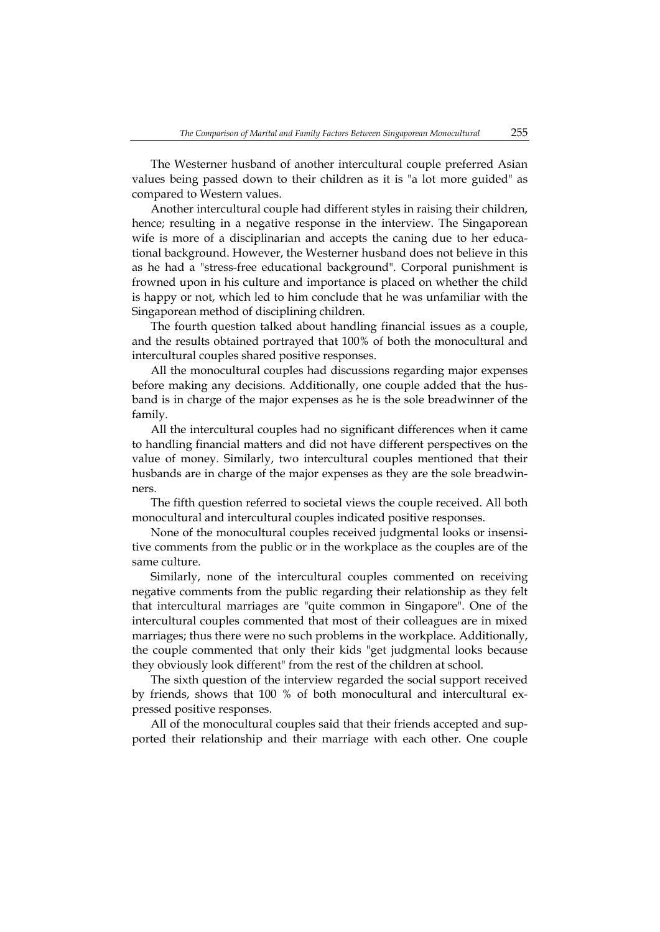The Westerner husband of another intercultural couple preferred Asian values being passed down to their children as it is "a lot more guided" as compared to Western values.

Another intercultural couple had different styles in raising their children, hence; resulting in a negative response in the interview. The Singaporean wife is more of a disciplinarian and accepts the caning due to her educational background. However, the Westerner husband does not believe in this as he had a "stress-free educational background". Corporal punishment is frowned upon in his culture and importance is placed on whether the child is happy or not, which led to him conclude that he was unfamiliar with the Singaporean method of disciplining children.

The fourth question talked about handling financial issues as a couple, and the results obtained portrayed that 100% of both the monocultural and intercultural couples shared positive responses.

All the monocultural couples had discussions regarding major expenses before making any decisions. Additionally, one couple added that the husband is in charge of the major expenses as he is the sole breadwinner of the family.

All the intercultural couples had no significant differences when it came to handling financial matters and did not have different perspectives on the value of money. Similarly, two intercultural couples mentioned that their husbands are in charge of the major expenses as they are the sole breadwinners.

The fifth question referred to societal views the couple received. All both monocultural and intercultural couples indicated positive responses.

None of the monocultural couples received judgmental looks or insensitive comments from the public or in the workplace as the couples are of the same culture.

Similarly, none of the intercultural couples commented on receiving negative comments from the public regarding their relationship as they felt that intercultural marriages are "quite common in Singapore". One of the intercultural couples commented that most of their colleagues are in mixed marriages; thus there were no such problems in the workplace. Additionally, the couple commented that only their kids "get judgmental looks because they obviously look different" from the rest of the children at school.

The sixth question of the interview regarded the social support received by friends, shows that 100 % of both monocultural and intercultural expressed positive responses.

All of the monocultural couples said that their friends accepted and supported their relationship and their marriage with each other. One couple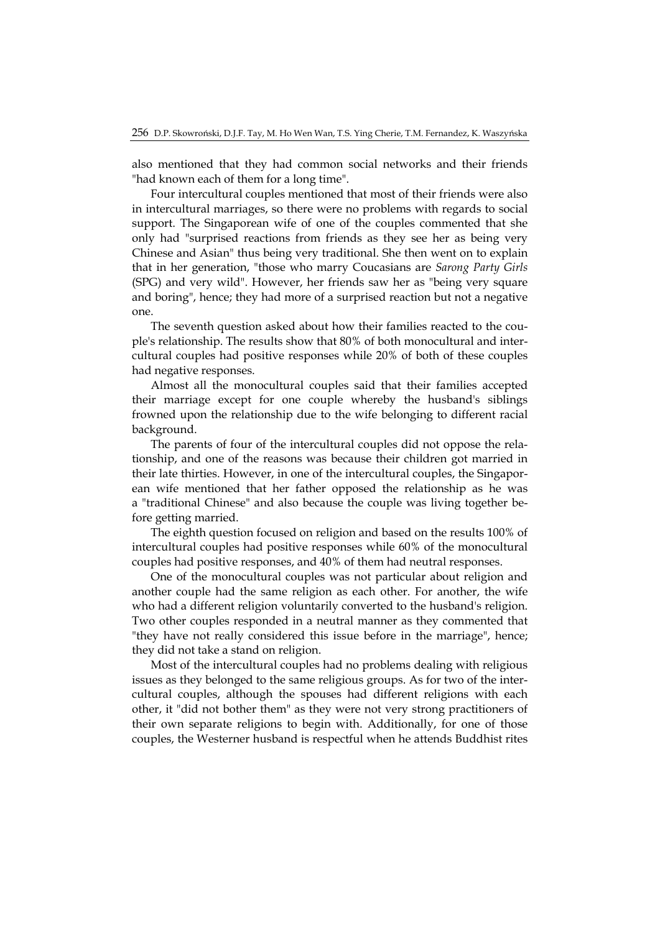also mentioned that they had common social networks and their friends "had known each of them for a long time".

Four intercultural couples mentioned that most of their friends were also in intercultural marriages, so there were no problems with regards to social support. The Singaporean wife of one of the couples commented that she only had "surprised reactions from friends as they see her as being very Chinese and Asian" thus being very traditional. She then went on to explain that in her generation, "those who marry Coucasians are *Sarong Party Girls* (SPG) and very wild". However, her friends saw her as "being very square and boring", hence; they had more of a surprised reaction but not a negative one.

The seventh question asked about how their families reacted to the couple's relationship. The results show that 80% of both monocultural and intercultural couples had positive responses while 20% of both of these couples had negative responses.

Almost all the monocultural couples said that their families accepted their marriage except for one couple whereby the husband's siblings frowned upon the relationship due to the wife belonging to different racial background.

The parents of four of the intercultural couples did not oppose the relationship, and one of the reasons was because their children got married in their late thirties. However, in one of the intercultural couples, the Singaporean wife mentioned that her father opposed the relationship as he was a "traditional Chinese" and also because the couple was living together before getting married.

The eighth question focused on religion and based on the results 100% of intercultural couples had positive responses while 60% of the monocultural couples had positive responses, and 40% of them had neutral responses.

One of the monocultural couples was not particular about religion and another couple had the same religion as each other. For another, the wife who had a different religion voluntarily converted to the husband's religion. Two other couples responded in a neutral manner as they commented that "they have not really considered this issue before in the marriage", hence; they did not take a stand on religion.

Most of the intercultural couples had no problems dealing with religious issues as they belonged to the same religious groups. As for two of the intercultural couples, although the spouses had different religions with each other, it "did not bother them" as they were not very strong practitioners of their own separate religions to begin with. Additionally, for one of those couples, the Westerner husband is respectful when he attends Buddhist rites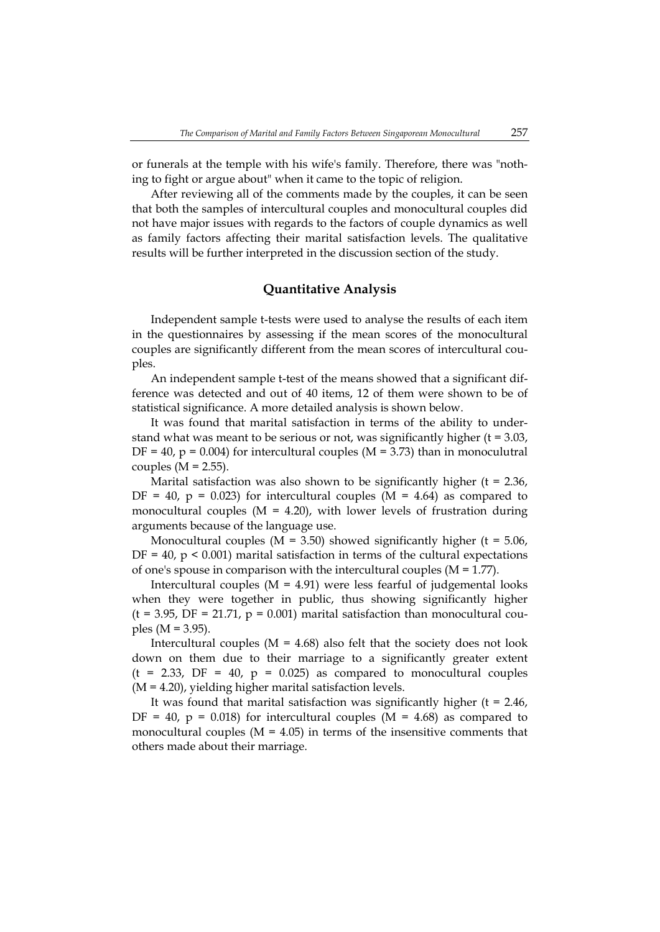or funerals at the temple with his wife's family. Therefore, there was "nothing to fight or argue about" when it came to the topic of religion.

After reviewing all of the comments made by the couples, it can be seen that both the samples of intercultural couples and monocultural couples did not have major issues with regards to the factors of couple dynamics as well as family factors affecting their marital satisfaction levels. The qualitative results will be further interpreted in the discussion section of the study.

## **Quantitative Analysis**

Independent sample t-tests were used to analyse the results of each item in the questionnaires by assessing if the mean scores of the monocultural couples are significantly different from the mean scores of intercultural couples.

An independent sample t-test of the means showed that a significant difference was detected and out of 40 items, 12 of them were shown to be of statistical significance. A more detailed analysis is shown below.

It was found that marital satisfaction in terms of the ability to understand what was meant to be serious or not, was significantly higher  $(t = 3.03,$  $DF = 40$ ,  $p = 0.004$ ) for intercultural couples (M = 3.73) than in monoculutral couples  $(M = 2.55)$ .

Marital satisfaction was also shown to be significantly higher  $(t = 2.36)$ , DF = 40,  $p = 0.023$ ) for intercultural couples (M = 4.64) as compared to monocultural couples ( $M = 4.20$ ), with lower levels of frustration during arguments because of the language use.

Monocultural couples ( $M = 3.50$ ) showed significantly higher ( $t = 5.06$ ,  $DF = 40$ ,  $p \le 0.001$ ) marital satisfaction in terms of the cultural expectations of one's spouse in comparison with the intercultural couples (M = 1.77).

Intercultural couples ( $M = 4.91$ ) were less fearful of judgemental looks when they were together in public, thus showing significantly higher  $(t = 3.95, DF = 21.71, p = 0.001)$  marital satisfaction than monocultural couples ( $M = 3.95$ ).

Intercultural couples ( $M = 4.68$ ) also felt that the society does not look down on them due to their marriage to a significantly greater extent  $(t = 2.33, DF = 40, p = 0.025)$  as compared to monocultural couples (M = 4.20), yielding higher marital satisfaction levels.

It was found that marital satisfaction was significantly higher  $(t = 2.46)$ , DF = 40,  $p = 0.018$ ) for intercultural couples (M = 4.68) as compared to monocultural couples ( $M = 4.05$ ) in terms of the insensitive comments that others made about their marriage.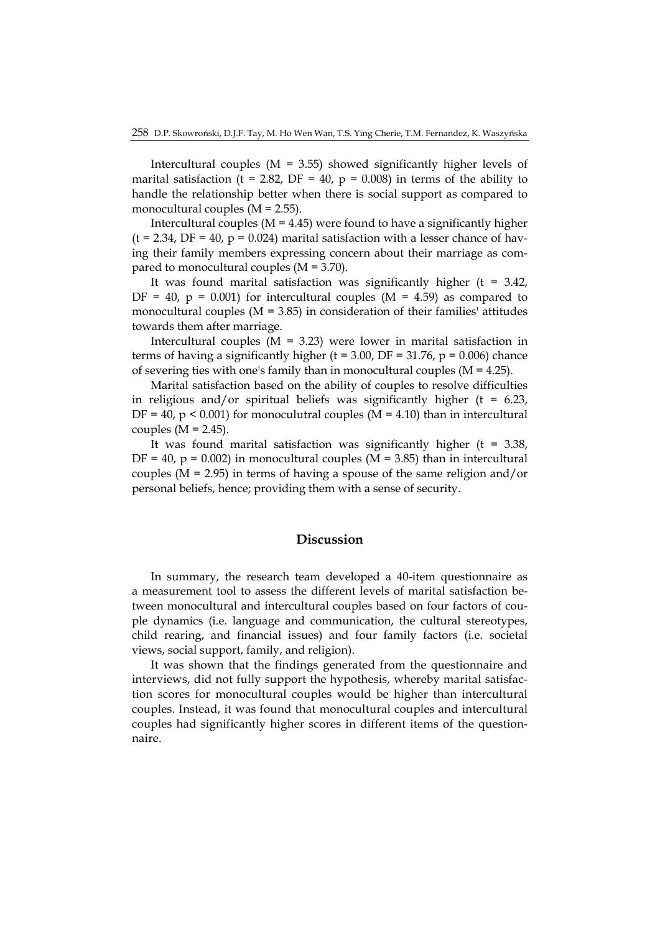Intercultural couples ( $M = 3.55$ ) showed significantly higher levels of marital satisfaction (t = 2.82, DF = 40,  $p = 0.008$ ) in terms of the ability to handle the relationship better when there is social support as compared to monocultural couples  $(M = 2.55)$ .

Intercultural couples ( $M = 4.45$ ) were found to have a significantly higher  $(t = 2.34, DF = 40, p = 0.024)$  marital satisfaction with a lesser chance of having their family members expressing concern about their marriage as compared to monocultural couples (M = 3.70).

It was found marital satisfaction was significantly higher  $(t = 3.42)$ ,  $DF = 40$ ,  $p = 0.001$  for intercultural couples (M = 4.59) as compared to monocultural couples ( $M = 3.85$ ) in consideration of their families' attitudes towards them after marriage.

Intercultural couples ( $M = 3.23$ ) were lower in marital satisfaction in terms of having a significantly higher (t = 3.00, DF = 31.76,  $p = 0.006$ ) chance of severing ties with one's family than in monocultural couples (M = 4.25).

Marital satisfaction based on the ability of couples to resolve difficulties in religious and/or spiritual beliefs was significantly higher ( $t = 6.23$ ,  $DF = 40$ ,  $p \le 0.001$  for monoculutral couples (M = 4.10) than in intercultural couples  $(M = 2.45)$ .

It was found marital satisfaction was significantly higher  $(t = 3.38)$ ,  $DF = 40$ ,  $p = 0.002$ ) in monocultural couples (M = 3.85) than in intercultural couples ( $M = 2.95$ ) in terms of having a spouse of the same religion and/or personal beliefs, hence; providing them with a sense of security.

#### **Discussion**

In summary, the research team developed a 40-item questionnaire as a measurement tool to assess the different levels of marital satisfaction between monocultural and intercultural couples based on four factors of couple dynamics (i.e. language and communication, the cultural stereotypes, child rearing, and financial issues) and four family factors (i.e. societal views, social support, family, and religion).

It was shown that the findings generated from the questionnaire and interviews, did not fully support the hypothesis, whereby marital satisfaction scores for monocultural couples would be higher than intercultural couples. Instead, it was found that monocultural couples and intercultural couples had significantly higher scores in different items of the questionnaire.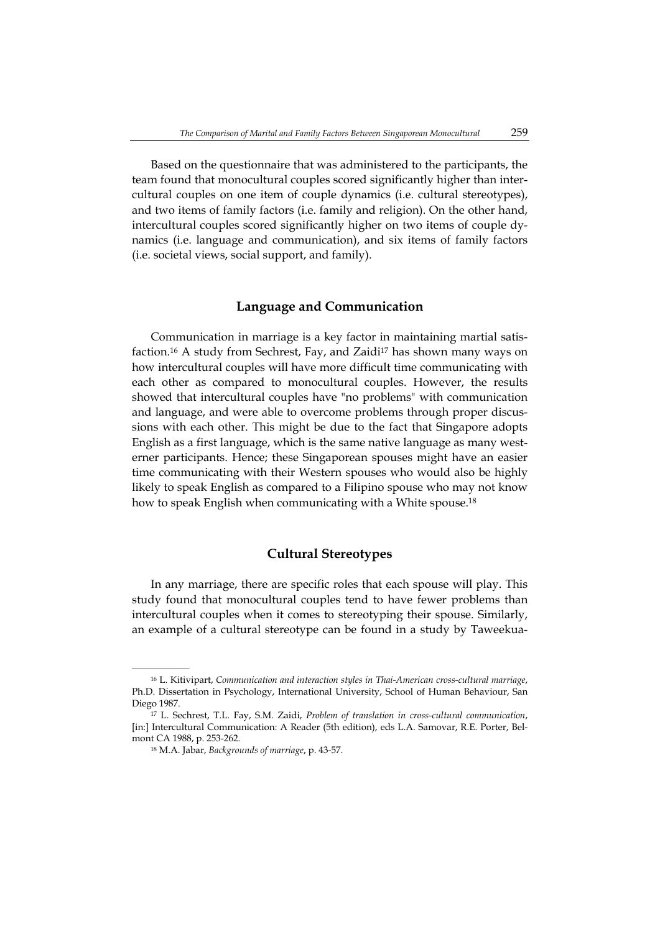Based on the questionnaire that was administered to the participants, the team found that monocultural couples scored significantly higher than intercultural couples on one item of couple dynamics (i.e. cultural stereotypes), and two items of family factors (i.e. family and religion). On the other hand, intercultural couples scored significantly higher on two items of couple dynamics (i.e. language and communication), and six items of family factors (i.e. societal views, social support, and family).

#### **Language and Communication**

Communication in marriage is a key factor in maintaining martial satisfaction.16 A study from Sechrest, Fay, and Zaidi17 has shown many ways on how intercultural couples will have more difficult time communicating with each other as compared to monocultural couples. However, the results showed that intercultural couples have "no problems" with communication and language, and were able to overcome problems through proper discussions with each other. This might be due to the fact that Singapore adopts English as a first language, which is the same native language as many westerner participants. Hence; these Singaporean spouses might have an easier time communicating with their Western spouses who would also be highly likely to speak English as compared to a Filipino spouse who may not know how to speak English when communicating with a White spouse.<sup>18</sup>

#### **Cultural Stereotypes**

In any marriage, there are specific roles that each spouse will play. This study found that monocultural couples tend to have fewer problems than intercultural couples when it comes to stereotyping their spouse. Similarly, an example of a cultural stereotype can be found in a study by Taweekua-

<sup>16</sup> L. Kitivipart, *Communication and interaction styles in Thai-American cross-cultural marriage*, Ph.D. Dissertation in Psychology, International University, School of Human Behaviour, San Diego 1987.

<sup>17</sup> L. Sechrest, T.L. Fay, S.M. Zaidi, *Problem of translation in cross-cultural communication*, [in:] Intercultural Communication: A Reader (5th edition), eds L.A. Samovar, R.E. Porter, Belmont CA 1988, p. 253-262.

<sup>18</sup> M.A. Jabar, *Backgrounds of marriage*, p. 43-57.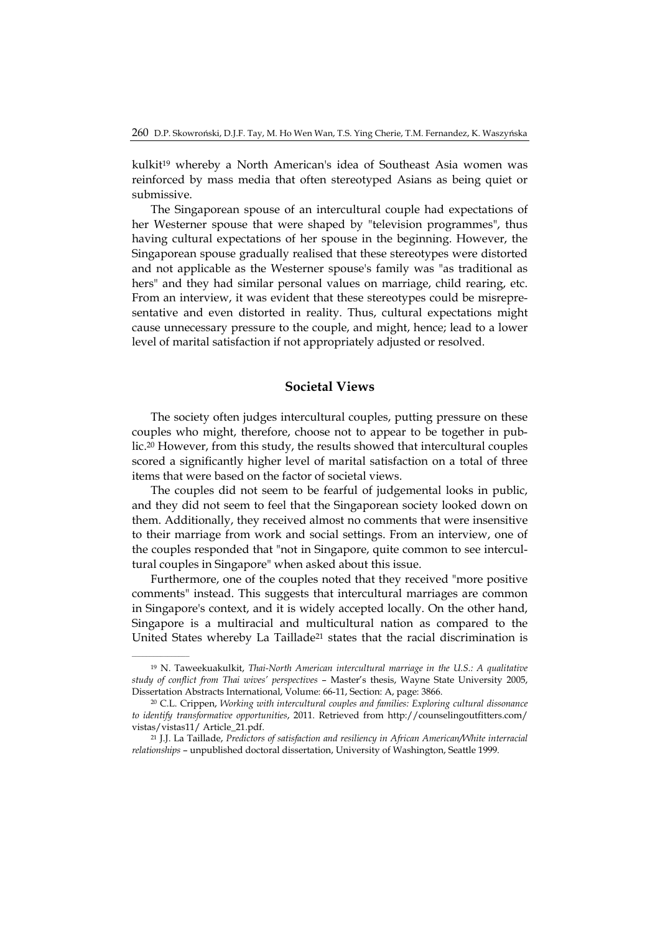kulkit19 whereby a North American's idea of Southeast Asia women was reinforced by mass media that often stereotyped Asians as being quiet or submissive.

The Singaporean spouse of an intercultural couple had expectations of her Westerner spouse that were shaped by "television programmes", thus having cultural expectations of her spouse in the beginning. However, the Singaporean spouse gradually realised that these stereotypes were distorted and not applicable as the Westerner spouse's family was "as traditional as hers" and they had similar personal values on marriage, child rearing, etc. From an interview, it was evident that these stereotypes could be misrepresentative and even distorted in reality. Thus, cultural expectations might cause unnecessary pressure to the couple, and might, hence; lead to a lower level of marital satisfaction if not appropriately adjusted or resolved.

#### **Societal Views**

The society often judges intercultural couples, putting pressure on these couples who might, therefore, choose not to appear to be together in public.20 However, from this study, the results showed that intercultural couples scored a significantly higher level of marital satisfaction on a total of three items that were based on the factor of societal views.

The couples did not seem to be fearful of judgemental looks in public, and they did not seem to feel that the Singaporean society looked down on them. Additionally, they received almost no comments that were insensitive to their marriage from work and social settings. From an interview, one of the couples responded that "not in Singapore, quite common to see intercultural couples in Singapore" when asked about this issue.

Furthermore, one of the couples noted that they received "more positive comments" instead. This suggests that intercultural marriages are common in Singapore's context, and it is widely accepted locally. On the other hand, Singapore is a multiracial and multicultural nation as compared to the United States whereby La Taillade<sup>21</sup> states that the racial discrimination is

 $\mathcal{L}=\mathcal{L}^{\text{max}}$ 

<sup>19</sup> N. Taweekuakulkit, *Thai-North American intercultural marriage in the U.S.: A qualitative study of conflict from Thai wives' perspectives* – Master's thesis, Wayne State University 2005, Dissertation Abstracts International, Volume: 66-11, Section: A, page: 3866.

<sup>20</sup> C.L. Crippen, *Working with intercultural couples and families: Exploring cultural dissonance to identify transformative opportunities*, 2011. Retrieved from http://counselingoutfitters.com/ vistas/vistas11/ Article\_21.pdf.

<sup>21</sup> J.J. La Taillade, *Predictors of satisfaction and resiliency in African American/White interracial relationships* – unpublished doctoral dissertation, University of Washington, Seattle 1999.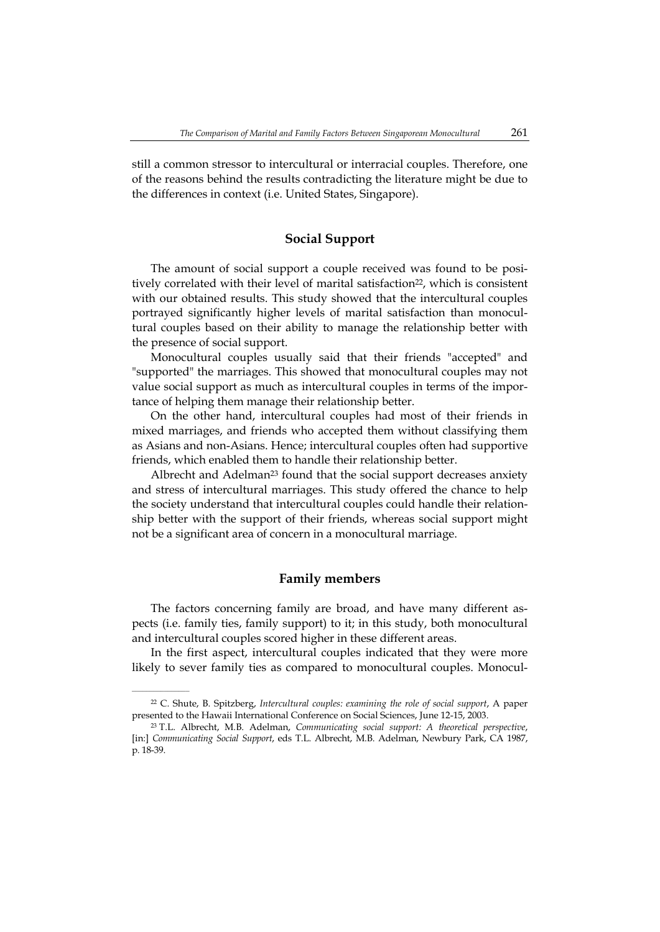still a common stressor to intercultural or interracial couples. Therefore, one of the reasons behind the results contradicting the literature might be due to the differences in context (i.e. United States, Singapore).

### **Social Support**

The amount of social support a couple received was found to be positively correlated with their level of marital satisfaction<sup>22</sup>, which is consistent with our obtained results. This study showed that the intercultural couples portrayed significantly higher levels of marital satisfaction than monocultural couples based on their ability to manage the relationship better with the presence of social support.

Monocultural couples usually said that their friends "accepted" and "supported" the marriages. This showed that monocultural couples may not value social support as much as intercultural couples in terms of the importance of helping them manage their relationship better.

On the other hand, intercultural couples had most of their friends in mixed marriages, and friends who accepted them without classifying them as Asians and non-Asians. Hence; intercultural couples often had supportive friends, which enabled them to handle their relationship better.

Albrecht and Adelman<sup>23</sup> found that the social support decreases anxiety and stress of intercultural marriages. This study offered the chance to help the society understand that intercultural couples could handle their relationship better with the support of their friends, whereas social support might not be a significant area of concern in a monocultural marriage.

#### **Family members**

The factors concerning family are broad, and have many different aspects (i.e. family ties, family support) to it; in this study, both monocultural and intercultural couples scored higher in these different areas.

In the first aspect, intercultural couples indicated that they were more likely to sever family ties as compared to monocultural couples. Monocul-

<sup>22</sup> C. Shute, B. Spitzberg, *Intercultural couples: examining the role of social support*, A paper presented to the Hawaii International Conference on Social Sciences, June 12-15, 2003.

<sup>23</sup> T.L. Albrecht, M.B. Adelman, *Communicating social support: A theoretical perspective*, [in:] *Communicating Social Support*, eds T.L. Albrecht, M.B. Adelman, Newbury Park, CA 1987, p. 18-39.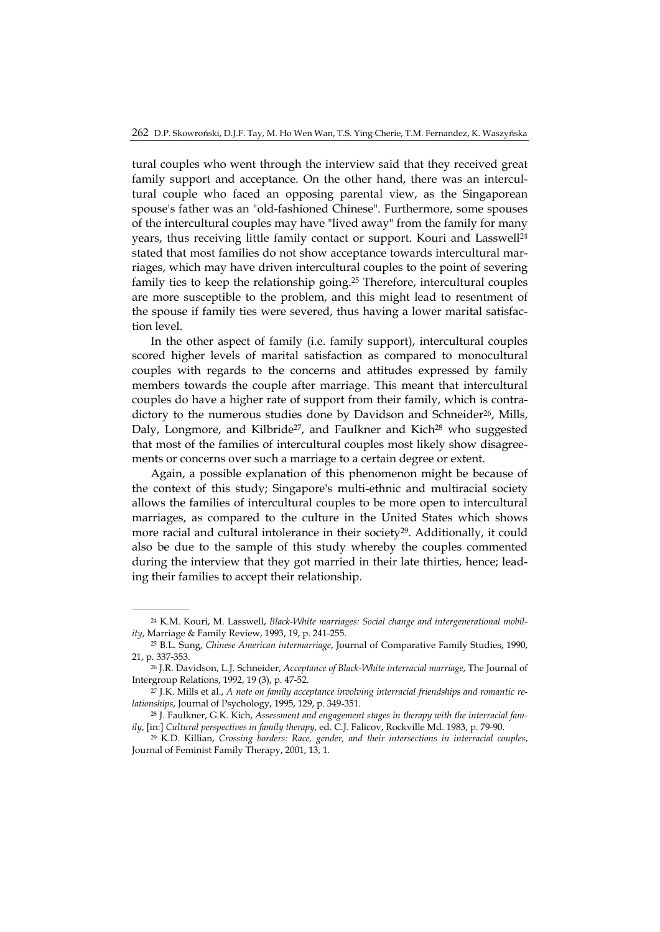tural couples who went through the interview said that they received great family support and acceptance. On the other hand, there was an intercultural couple who faced an opposing parental view, as the Singaporean spouse's father was an "old-fashioned Chinese". Furthermore, some spouses of the intercultural couples may have "lived away" from the family for many years, thus receiving little family contact or support. Kouri and Lasswell24 stated that most families do not show acceptance towards intercultural marriages, which may have driven intercultural couples to the point of severing family ties to keep the relationship going.25 Therefore, intercultural couples are more susceptible to the problem, and this might lead to resentment of the spouse if family ties were severed, thus having a lower marital satisfaction level.

In the other aspect of family (i.e. family support), intercultural couples scored higher levels of marital satisfaction as compared to monocultural couples with regards to the concerns and attitudes expressed by family members towards the couple after marriage. This meant that intercultural couples do have a higher rate of support from their family, which is contradictory to the numerous studies done by Davidson and Schneider<sup>26</sup>, Mills, Daly, Longmore, and Kilbride<sup>27</sup>, and Faulkner and Kich<sup>28</sup> who suggested that most of the families of intercultural couples most likely show disagreements or concerns over such a marriage to a certain degree or extent.

Again, a possible explanation of this phenomenon might be because of the context of this study; Singapore's multi-ethnic and multiracial society allows the families of intercultural couples to be more open to intercultural marriages, as compared to the culture in the United States which shows more racial and cultural intolerance in their society<sup>29</sup>. Additionally, it could also be due to the sample of this study whereby the couples commented during the interview that they got married in their late thirties, hence; leading their families to accept their relationship.

<sup>24</sup> K.M. Kouri, M. Lasswell, *Black-White marriages: Social change and intergenerational mobility*, Marriage & Family Review, 1993, 19, p. 241-255.

<sup>25</sup> B.L. Sung, *Chinese American intermarriage*, Journal of Comparative Family Studies, 1990, 21, p. 337-353.

<sup>26</sup> J.R. Davidson, L.J. Schneider, *Acceptance of Black-White interracial marriage*, The Journal of Intergroup Relations, 1992, 19 (3), p. 47-52.

<sup>27</sup> J.K. Mills et al., *A note on family acceptance involving interracial friendships and romantic relationships*, Journal of Psychology, 1995, 129, p. 349-351.

<sup>28</sup> J. Faulkner, G.K. Kich, *Assessment and engagement stages in therapy with the interracial family*, [in:] *Cultural perspectives in family therapy*, ed. C.J. Falicov, Rockville Md. 1983, p. 79-90.

<sup>29</sup> K.D. Killian, *Crossing borders: Race, gender, and their intersections in interracial couples*, Journal of Feminist Family Therapy, 2001, 13, 1.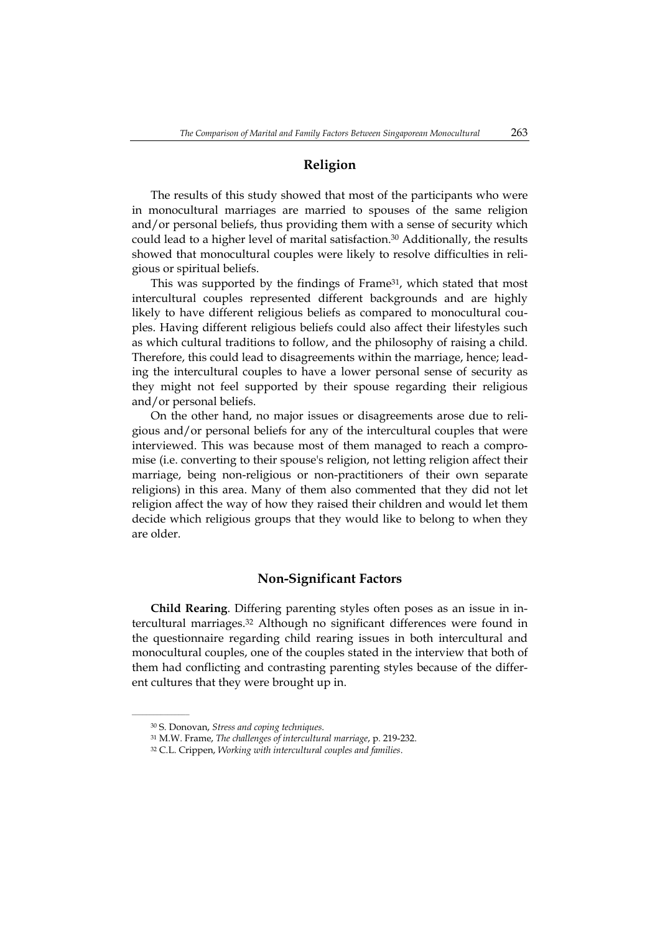# **Religion**

The results of this study showed that most of the participants who were in monocultural marriages are married to spouses of the same religion and/or personal beliefs, thus providing them with a sense of security which could lead to a higher level of marital satisfaction.<sup>30</sup> Additionally, the results showed that monocultural couples were likely to resolve difficulties in religious or spiritual beliefs.

This was supported by the findings of Frame<sup>31</sup>, which stated that most intercultural couples represented different backgrounds and are highly likely to have different religious beliefs as compared to monocultural couples. Having different religious beliefs could also affect their lifestyles such as which cultural traditions to follow, and the philosophy of raising a child. Therefore, this could lead to disagreements within the marriage, hence; leading the intercultural couples to have a lower personal sense of security as they might not feel supported by their spouse regarding their religious and/or personal beliefs.

On the other hand, no major issues or disagreements arose due to religious and/or personal beliefs for any of the intercultural couples that were interviewed. This was because most of them managed to reach a compromise (i.e. converting to their spouse's religion, not letting religion affect their marriage, being non-religious or non-practitioners of their own separate religions) in this area. Many of them also commented that they did not let religion affect the way of how they raised their children and would let them decide which religious groups that they would like to belong to when they are older.

## **Non-Significant Factors**

**Child Rearing**. Differing parenting styles often poses as an issue in intercultural marriages.32 Although no significant differences were found in the questionnaire regarding child rearing issues in both intercultural and monocultural couples, one of the couples stated in the interview that both of them had conflicting and contrasting parenting styles because of the different cultures that they were brought up in.

<sup>30</sup> S. Donovan, *Stress and coping techniques*.

<sup>31</sup> M.W. Frame, *The challenges of intercultural marriage*, p. 219-232.

<sup>32</sup> C.L. Crippen, *Working with intercultural couples and families*.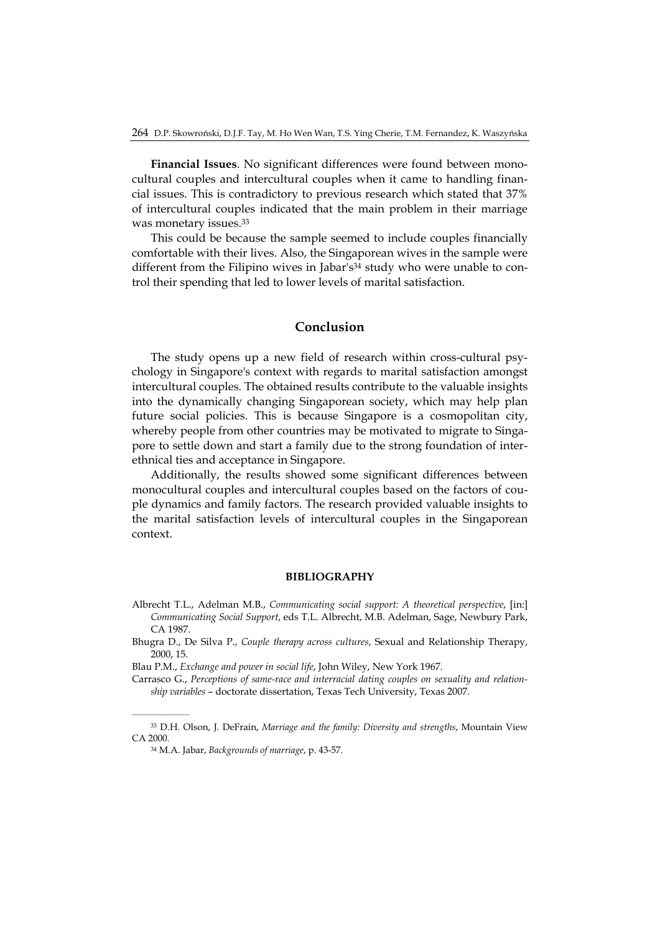**Financial Issues**. No significant differences were found between monocultural couples and intercultural couples when it came to handling financial issues. This is contradictory to previous research which stated that 37% of intercultural couples indicated that the main problem in their marriage was monetary issues.33

This could be because the sample seemed to include couples financially comfortable with their lives. Also, the Singaporean wives in the sample were different from the Filipino wives in Jabar's<sup>34</sup> study who were unable to control their spending that led to lower levels of marital satisfaction.

#### **Conclusion**

The study opens up a new field of research within cross-cultural psychology in Singapore's context with regards to marital satisfaction amongst intercultural couples. The obtained results contribute to the valuable insights into the dynamically changing Singaporean society, which may help plan future social policies. This is because Singapore is a cosmopolitan city, whereby people from other countries may be motivated to migrate to Singapore to settle down and start a family due to the strong foundation of interethnical ties and acceptance in Singapore.

Additionally, the results showed some significant differences between monocultural couples and intercultural couples based on the factors of couple dynamics and family factors. The research provided valuable insights to the marital satisfaction levels of intercultural couples in the Singaporean context.

#### **BIBLIOGRAPHY**

- Albrecht T.L., Adelman M.B., *Communicating social support: A theoretical perspective*, [in:] *Communicating Social Support*, eds T.L. Albrecht, M.B. Adelman, Sage, Newbury Park, CA 1987.
- Bhugra D., De Silva P., *Couple therapy across cultures*, Sexual and Relationship Therapy, 2000, 15.
- Blau P.M., *Exchange and power in social life*, John Wiley, New York 1967.

Carrasco G., *Perceptions of same-race and interracial dating couples on sexuality and relationship variables* – doctorate dissertation, Texas Tech University, Texas 2007.

<sup>33</sup> D.H. Olson, J. DeFrain, *Marriage and the family: Diversity and strengths*, Mountain View CA 2000.

<sup>34</sup> M.A. Jabar, *Backgrounds of marriage*, p. 43-57.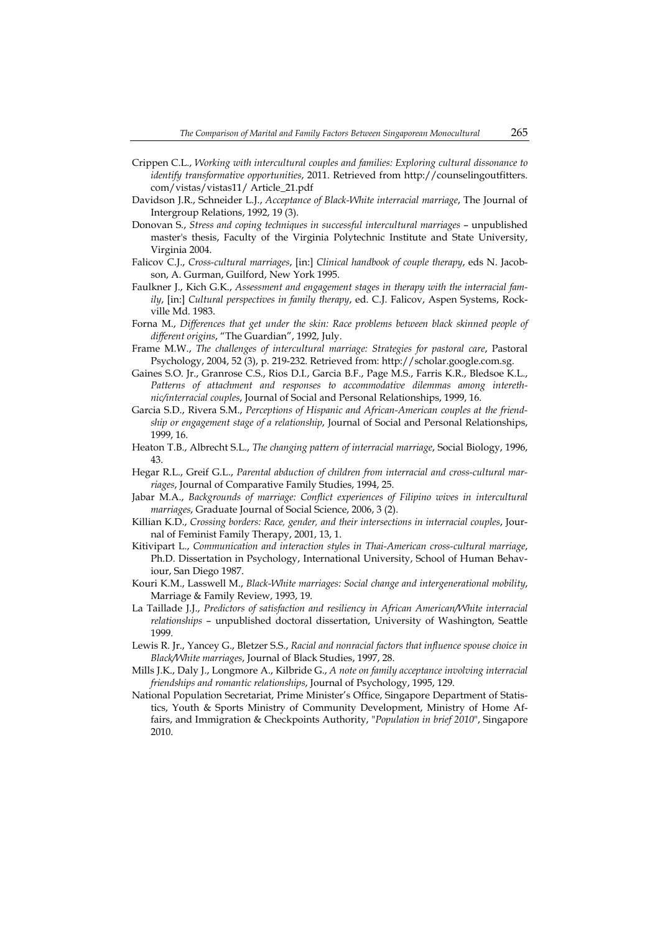- Crippen C.L., *Working with intercultural couples and families: Exploring cultural dissonance to identify transformative opportunities*, 2011. Retrieved from http://counselingoutfitters. com/vistas/vistas11/ Article\_21.pdf
- Davidson J.R., Schneider L.J., *Acceptance of Black-White interracial marriage*, The Journal of Intergroup Relations, 1992, 19 (3).
- Donovan S., *Stress and coping techniques in successful intercultural marriages* unpublished master's thesis, Faculty of the Virginia Polytechnic Institute and State University, Virginia 2004.
- Falicov C.J., *Cross-cultural marriages*, [in:] *Clinical handbook of couple therapy*, eds N. Jacobson, A. Gurman, Guilford, New York 1995.
- Faulkner J., Kich G.K., *Assessment and engagement stages in therapy with the interracial family*, [in:] *Cultural perspectives in family therapy*, ed. C.J. Falicov, Aspen Systems, Rockville Md. 1983.
- Forna M., *Differences that get under the skin: Race problems between black skinned people of different origins*, "The Guardian", 1992, July.
- Frame M.W., *The challenges of intercultural marriage: Strategies for pastoral care*, Pastoral Psychology, 2004, 52 (3), p. 219-232. Retrieved from: http://scholar.google.com.sg.
- Gaines S.O. Jr., Granrose C.S., Rios D.I., Garcia B.F., Page M.S., Farris K.R., Bledsoe K.L., *Patterns of attachment and responses to accommodative dilemmas among interethnic/interracial couples*, Journal of Social and Personal Relationships, 1999, 16.
- Garcia S.D., Rivera S.M., *Perceptions of Hispanic and African-American couples at the friendship or engagement stage of a relationship*, Journal of Social and Personal Relationships, 1999, 16.
- Heaton T.B., Albrecht S.L., *The changing pattern of interracial marriage*, Social Biology, 1996, 43.
- Hegar R.L., Greif G.L., *Parental abduction of children from interracial and cross-cultural marriages*, Journal of Comparative Family Studies, 1994, 25.
- Jabar M.A., *Backgrounds of marriage: Conflict experiences of Filipino wives in intercultural marriages*, Graduate Journal of Social Science, 2006, 3 (2).
- Killian K.D., *Crossing borders: Race, gender, and their intersections in interracial couples*, Journal of Feminist Family Therapy, 2001, 13, 1.
- Kitivipart L., *Communication and interaction styles in Thai-American cross-cultural marriage*, Ph.D. Dissertation in Psychology, International University, School of Human Behaviour, San Diego 1987.
- Kouri K.M., Lasswell M., *Black-White marriages: Social change and intergenerational mobility*, Marriage & Family Review, 1993, 19.
- La Taillade J.J., *Predictors of satisfaction and resiliency in African American/White interracial relationships* – unpublished doctoral dissertation, University of Washington, Seattle 1999.
- Lewis R. Jr., Yancey G., Bletzer S.S., *Racial and nonracial factors that influence spouse choice in Black/White marriages*, Journal of Black Studies, 1997, 28.
- Mills J.K., Daly J., Longmore A., Kilbride G., *A note on family acceptance involving interracial friendships and romantic relationships*, Journal of Psychology, 1995, 129.
- National Population Secretariat, Prime Minister's Office, Singapore Department of Statistics, Youth & Sports Ministry of Community Development, Ministry of Home Affairs, and Immigration & Checkpoints Authority, "*Population in brief 2010*", Singapore 2010.